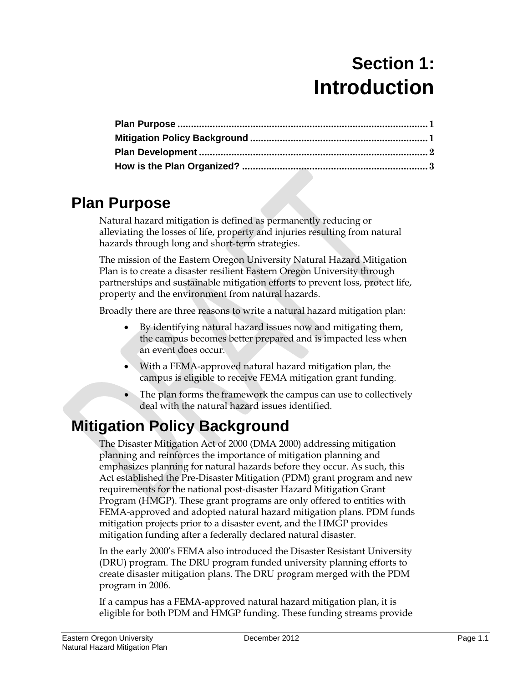# **Section 1: Introduction**

# <span id="page-0-0"></span>**Plan Purpose**

Natural hazard mitigation is defined as permanently reducing or alleviating the losses of life, property and injuries resulting from natural hazards through long and short-term strategies.

The mission of the Eastern Oregon University Natural Hazard Mitigation Plan is to create a disaster resilient Eastern Oregon University through partnerships and sustainable mitigation efforts to prevent loss, protect life, property and the environment from natural hazards.

Broadly there are three reasons to write a natural hazard mitigation plan:

- By identifying natural hazard issues now and mitigating them, the campus becomes better prepared and is impacted less when an event does occur.
- With a FEMA-approved natural hazard mitigation plan, the campus is eligible to receive FEMA mitigation grant funding.
- The plan forms the framework the campus can use to collectively deal with the natural hazard issues identified.

# <span id="page-0-1"></span>**Mitigation Policy Background**

The Disaster Mitigation Act of 2000 (DMA 2000) addressing mitigation planning and reinforces the importance of mitigation planning and emphasizes planning for natural hazards before they occur. As such, this Act established the Pre-Disaster Mitigation (PDM) grant program and new requirements for the national post-disaster Hazard Mitigation Grant Program (HMGP). These grant programs are only offered to entities with FEMA-approved and adopted natural hazard mitigation plans. PDM funds mitigation projects prior to a disaster event, and the HMGP provides mitigation funding after a federally declared natural disaster.

In the early 2000's FEMA also introduced the Disaster Resistant University (DRU) program. The DRU program funded university planning efforts to create disaster mitigation plans. The DRU program merged with the PDM program in 2006.

If a campus has a FEMA-approved natural hazard mitigation plan, it is eligible for both PDM and HMGP funding. These funding streams provide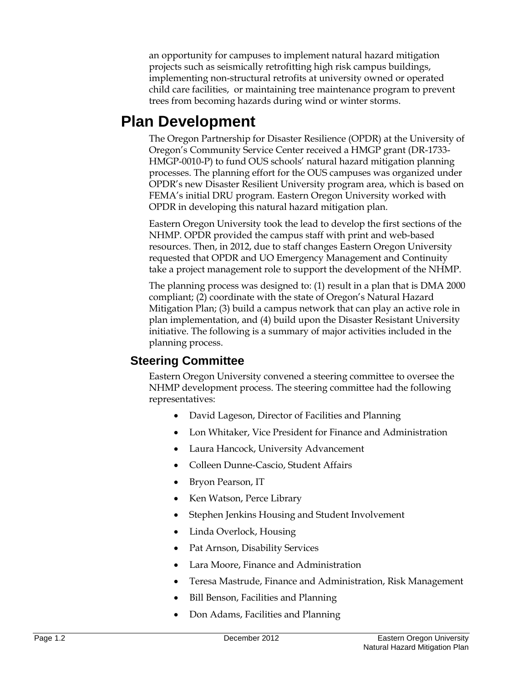an opportunity for campuses to implement natural hazard mitigation projects such as seismically retrofitting high risk campus buildings, implementing non-structural retrofits at university owned or operated child care facilities, or maintaining tree maintenance program to prevent trees from becoming hazards during wind or winter storms.

### <span id="page-1-0"></span>**Plan Development**

The Oregon Partnership for Disaster Resilience (OPDR) at the University of Oregon's Community Service Center received a HMGP grant (DR-1733- HMGP-0010-P) to fund OUS schools' natural hazard mitigation planning processes. The planning effort for the OUS campuses was organized under OPDR's new Disaster Resilient University program area, which is based on FEMA's initial DRU program. Eastern Oregon University worked with OPDR in developing this natural hazard mitigation plan.

Eastern Oregon University took the lead to develop the first sections of the NHMP. OPDR provided the campus staff with print and web-based resources. Then, in 2012, due to staff changes Eastern Oregon University requested that OPDR and UO Emergency Management and Continuity take a project management role to support the development of the NHMP.

The planning process was designed to: (1) result in a plan that is DMA 2000 compliant; (2) coordinate with the state of Oregon's Natural Hazard Mitigation Plan; (3) build a campus network that can play an active role in plan implementation, and (4) build upon the Disaster Resistant University initiative. The following is a summary of major activities included in the planning process.

#### **Steering Committee**

Eastern Oregon University convened a steering committee to oversee the NHMP development process. The steering committee had the following representatives:

- David Lageson, Director of Facilities and Planning
- Lon Whitaker, Vice President for Finance and Administration
- Laura Hancock, University Advancement
- Colleen Dunne-Cascio, Student Affairs
- Bryon Pearson, IT
- Ken Watson, Perce Library
- Stephen Jenkins Housing and Student Involvement
- Linda Overlock, Housing
- Pat Arnson, Disability Services
- Lara Moore, Finance and Administration
- Teresa Mastrude, Finance and Administration, Risk Management
- Bill Benson, Facilities and Planning
- Don Adams, Facilities and Planning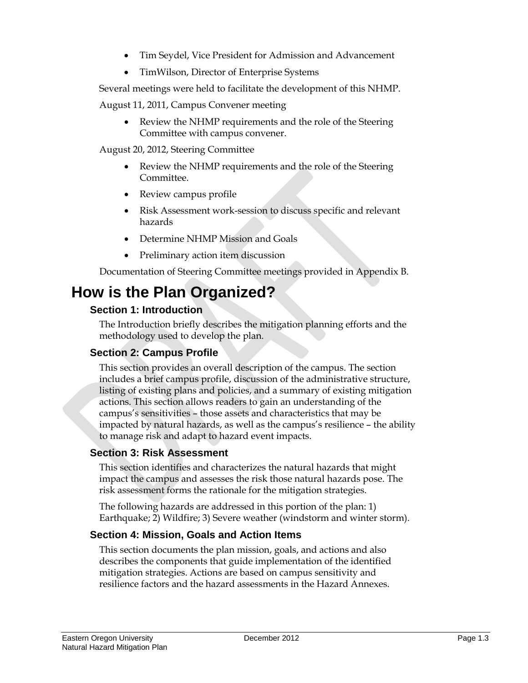- Tim Seydel, Vice President for Admission and Advancement
- TimWilson, Director of Enterprise Systems

Several meetings were held to facilitate the development of this NHMP.

August 11, 2011, Campus Convener meeting

• Review the NHMP requirements and the role of the Steering Committee with campus convener.

August 20, 2012, Steering Committee

- Review the NHMP requirements and the role of the Steering Committee.
- Review campus profile
- Risk Assessment work-session to discuss specific and relevant hazards
- Determine NHMP Mission and Goals
- Preliminary action item discussion

Documentation of Steering Committee meetings provided in Appendix B.

## <span id="page-2-0"></span>**How is the Plan Organized?**

#### **Section 1: Introduction**

The Introduction briefly describes the mitigation planning efforts and the methodology used to develop the plan.

#### **Section 2: Campus Profile**

This section provides an overall description of the campus. The section includes a brief campus profile, discussion of the administrative structure, listing of existing plans and policies, and a summary of existing mitigation actions. This section allows readers to gain an understanding of the campus's sensitivities – those assets and characteristics that may be impacted by natural hazards, as well as the campus's resilience – the ability to manage risk and adapt to hazard event impacts.

#### **Section 3: Risk Assessment**

This section identifies and characterizes the natural hazards that might impact the campus and assesses the risk those natural hazards pose. The risk assessment forms the rationale for the mitigation strategies.

The following hazards are addressed in this portion of the plan: 1) Earthquake; 2) Wildfire; 3) Severe weather (windstorm and winter storm).

#### **Section 4: Mission, Goals and Action Items**

This section documents the plan mission, goals, and actions and also describes the components that guide implementation of the identified mitigation strategies. Actions are based on campus sensitivity and resilience factors and the hazard assessments in the Hazard Annexes.